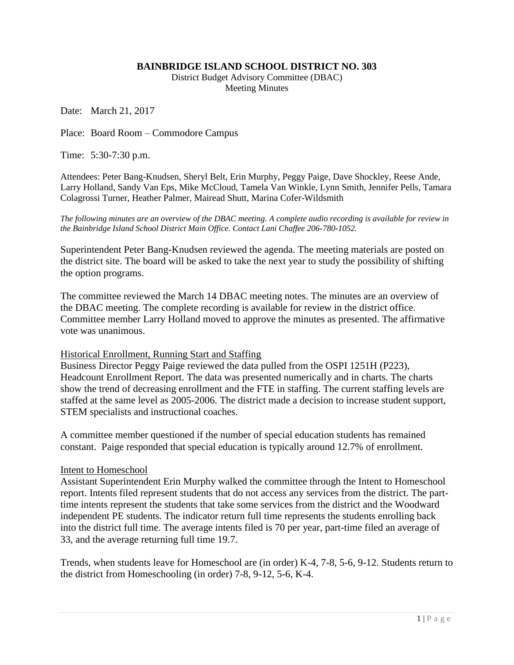## **BAINBRIDGE ISLAND SCHOOL DISTRICT NO. 303**

District Budget Advisory Committee (DBAC) Meeting Minutes

Date: March 21, 2017

Place: Board Room – Commodore Campus

Time: 5:30-7:30 p.m.

Attendees: Peter Bang-Knudsen, Sheryl Belt, Erin Murphy, Peggy Paige, Dave Shockley, Reese Ande, Larry Holland, Sandy Van Eps, Mike McCloud, Tamela Van Winkle, Lynn Smith, Jennifer Pells, Tamara Colagrossi Turner, Heather Palmer, Mairead Shutt, Marina Cofer-Wildsmith

*The following minutes are an overview of the DBAC meeting. A complete audio recording is available for review in the Bainbridge Island School District Main Office. Contact Lani Chaffee 206-780-1052.*

Superintendent Peter Bang-Knudsen reviewed the agenda. The meeting materials are posted on the district site. The board will be asked to take the next year to study the possibility of shifting the option programs.

The committee reviewed the March 14 DBAC meeting notes. The minutes are an overview of the DBAC meeting. The complete recording is available for review in the district office. Committee member Larry Holland moved to approve the minutes as presented. The affirmative vote was unanimous.

## Historical Enrollment, Running Start and Staffing

Business Director Peggy Paige reviewed the data pulled from the OSPI 1251H (P223), Headcount Enrollment Report. The data was presented numerically and in charts. The charts show the trend of decreasing enrollment and the FTE in staffing. The current staffing levels are staffed at the same level as 2005-2006. The district made a decision to increase student support, STEM specialists and instructional coaches.

A committee member questioned if the number of special education students has remained constant. Paige responded that special education is typically around 12.7% of enrollment.

## Intent to Homeschool

Assistant Superintendent Erin Murphy walked the committee through the Intent to Homeschool report. Intents filed represent students that do not access any services from the district. The parttime intents represent the students that take some services from the district and the Woodward independent PE students. The indicator return full time represents the students enrolling back into the district full time. The average intents filed is 70 per year, part-time filed an average of 33, and the average returning full time 19.7.

Trends, when students leave for Homeschool are (in order) K-4, 7-8, 5-6, 9-12. Students return to the district from Homeschooling (in order) 7-8, 9-12, 5-6, K-4.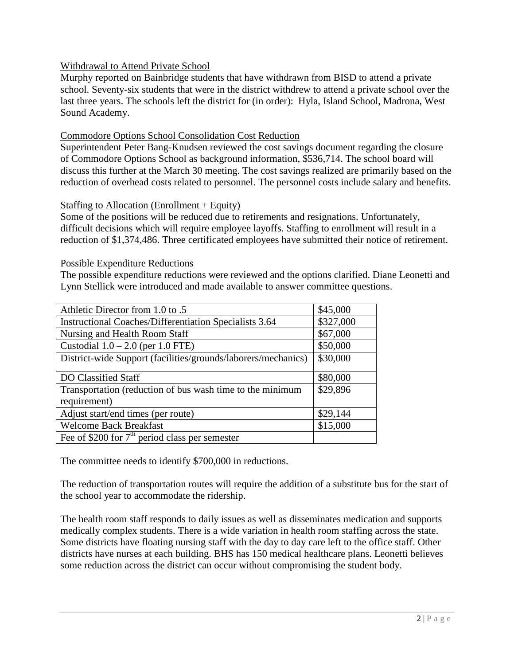## Withdrawal to Attend Private School

Murphy reported on Bainbridge students that have withdrawn from BISD to attend a private school. Seventy-six students that were in the district withdrew to attend a private school over the last three years. The schools left the district for (in order): Hyla, Island School, Madrona, West Sound Academy.

## Commodore Options School Consolidation Cost Reduction

Superintendent Peter Bang-Knudsen reviewed the cost savings document regarding the closure of Commodore Options School as background information, \$536,714. The school board will discuss this further at the March 30 meeting. The cost savings realized are primarily based on the reduction of overhead costs related to personnel. The personnel costs include salary and benefits.

## Staffing to Allocation (Enrollment + Equity)

Some of the positions will be reduced due to retirements and resignations. Unfortunately, difficult decisions which will require employee layoffs. Staffing to enrollment will result in a reduction of \$1,374,486. Three certificated employees have submitted their notice of retirement.

## Possible Expenditure Reductions

The possible expenditure reductions were reviewed and the options clarified. Diane Leonetti and Lynn Stellick were introduced and made available to answer committee questions.

| Athletic Director from 1.0 to .5                                          | \$45,000  |
|---------------------------------------------------------------------------|-----------|
| <b>Instructional Coaches/Differentiation Specialists 3.64</b>             | \$327,000 |
| Nursing and Health Room Staff                                             | \$67,000  |
| Custodial $1.0 - 2.0$ (per 1.0 FTE)                                       | \$50,000  |
| District-wide Support (facilities/grounds/laborers/mechanics)             | \$30,000  |
| DO Classified Staff                                                       | \$80,000  |
| Transportation (reduction of bus wash time to the minimum<br>requirement) | \$29,896  |
| Adjust start/end times (per route)                                        | \$29,144  |
| <b>Welcome Back Breakfast</b>                                             | \$15,000  |
| Fee of \$200 for $7th$ period class per semester                          |           |

The committee needs to identify \$700,000 in reductions.

The reduction of transportation routes will require the addition of a substitute bus for the start of the school year to accommodate the ridership.

The health room staff responds to daily issues as well as disseminates medication and supports medically complex students. There is a wide variation in health room staffing across the state. Some districts have floating nursing staff with the day to day care left to the office staff. Other districts have nurses at each building. BHS has 150 medical healthcare plans. Leonetti believes some reduction across the district can occur without compromising the student body.